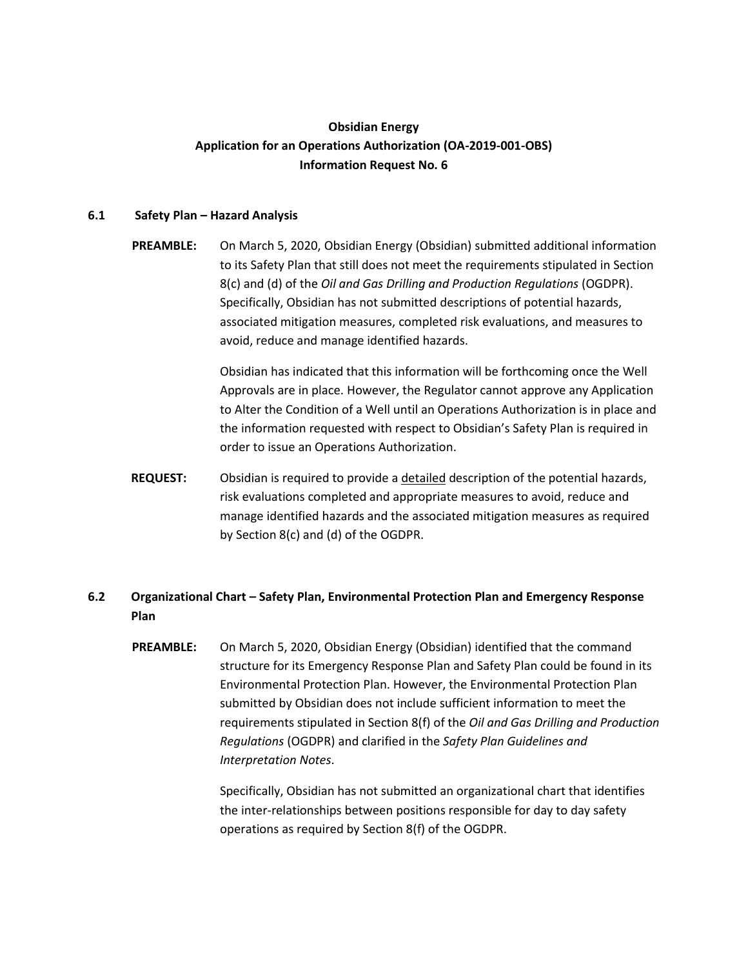# **Obsidian Energy Application for an Operations Authorization (OA-2019-001-OBS) Information Request No. 6**

### **6.1 Safety Plan – Hazard Analysis**

**PREAMBLE:** On March 5, 2020, Obsidian Energy (Obsidian) submitted additional information to its Safety Plan that still does not meet the requirements stipulated in Section 8(c) and (d) of the *Oil and Gas Drilling and Production Regulations* (OGDPR). Specifically, Obsidian has not submitted descriptions of potential hazards, associated mitigation measures, completed risk evaluations, and measures to avoid, reduce and manage identified hazards.

> Obsidian has indicated that this information will be forthcoming once the Well Approvals are in place. However, the Regulator cannot approve any Application to Alter the Condition of a Well until an Operations Authorization is in place and the information requested with respect to Obsidian's Safety Plan is required in order to issue an Operations Authorization.

**REQUEST:** Obsidian is required to provide a detailed description of the potential hazards, risk evaluations completed and appropriate measures to avoid, reduce and manage identified hazards and the associated mitigation measures as required by Section 8(c) and (d) of the OGDPR.

# **6.2 Organizational Chart – Safety Plan, Environmental Protection Plan and Emergency Response Plan**

**PREAMBLE:** On March 5, 2020, Obsidian Energy (Obsidian) identified that the command structure for its Emergency Response Plan and Safety Plan could be found in its Environmental Protection Plan. However, the Environmental Protection Plan submitted by Obsidian does not include sufficient information to meet the requirements stipulated in Section 8(f) of the *Oil and Gas Drilling and Production Regulations* (OGDPR) and clarified in the *Safety Plan Guidelines and Interpretation Notes*.

> Specifically, Obsidian has not submitted an organizational chart that identifies the inter-relationships between positions responsible for day to day safety operations as required by Section 8(f) of the OGDPR.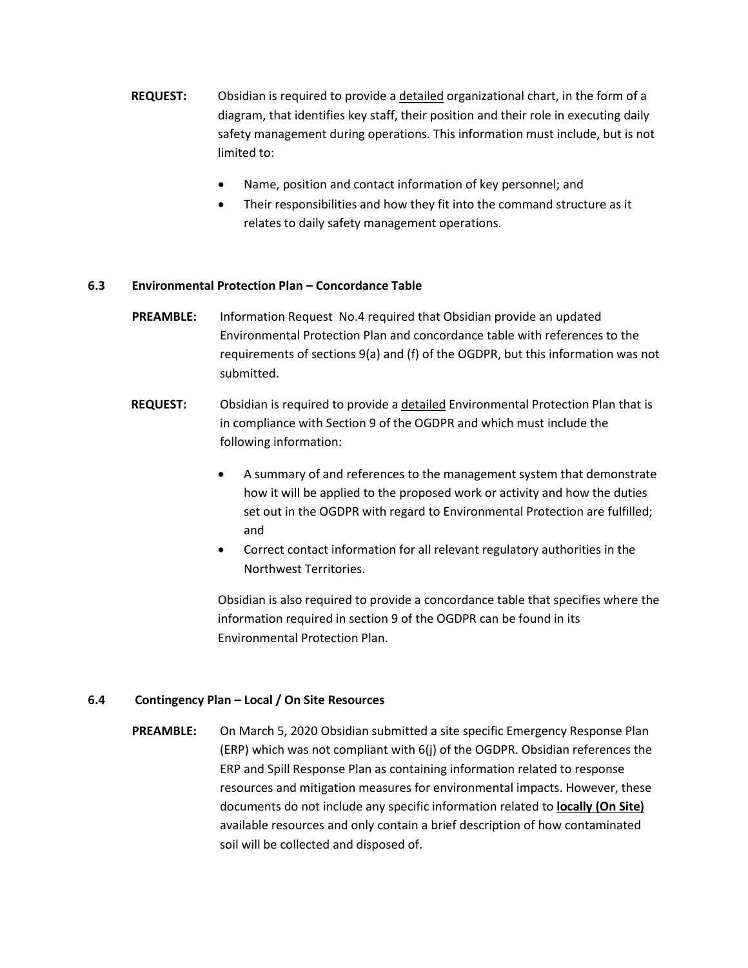- **REQUEST:** Obsidian is required to provide a detailed organizational chart, in the form of a diagram, that identifies key staff, their position and their role in executing daily safety management during operations. This information must include, but is not limited to:
	- Name, position and contact information of key personnel; and
	- Their responsibilities and how they fit into the command structure as it relates to daily safety management operations.

## **6.3 Environmental Protection Plan – Concordance Table**

- **PREAMBLE:** Information Request No.4 required that Obsidian provide an updated Environmental Protection Plan and concordance table with references to the requirements of sections 9(a) and (f) of the OGDPR, but this information was not submitted.
- **REQUEST:** Obsidian is required to provide a detailed Environmental Protection Plan that is in compliance with Section 9 of the OGDPR and which must include the following information:
	- A summary of and references to the management system that demonstrate how it will be applied to the proposed work or activity and how the duties set out in the OGDPR with regard to Environmental Protection are fulfilled; and
	- Correct contact information for all relevant regulatory authorities in the Northwest Territories.

Obsidian is also required to provide a concordance table that specifies where the information required in section 9 of the OGDPR can be found in its Environmental Protection Plan.

### **6.4 Contingency Plan – Local / On Site Resources**

**PREAMBLE:** On March 5, 2020 Obsidian submitted a site specific Emergency Response Plan (ERP) which was not compliant with 6(j) of the OGDPR. Obsidian references the ERP and Spill Response Plan as containing information related to response resources and mitigation measures for environmental impacts. However, these documents do not include any specific information related to **locally (On Site)** available resources and only contain a brief description of how contaminated soil will be collected and disposed of.